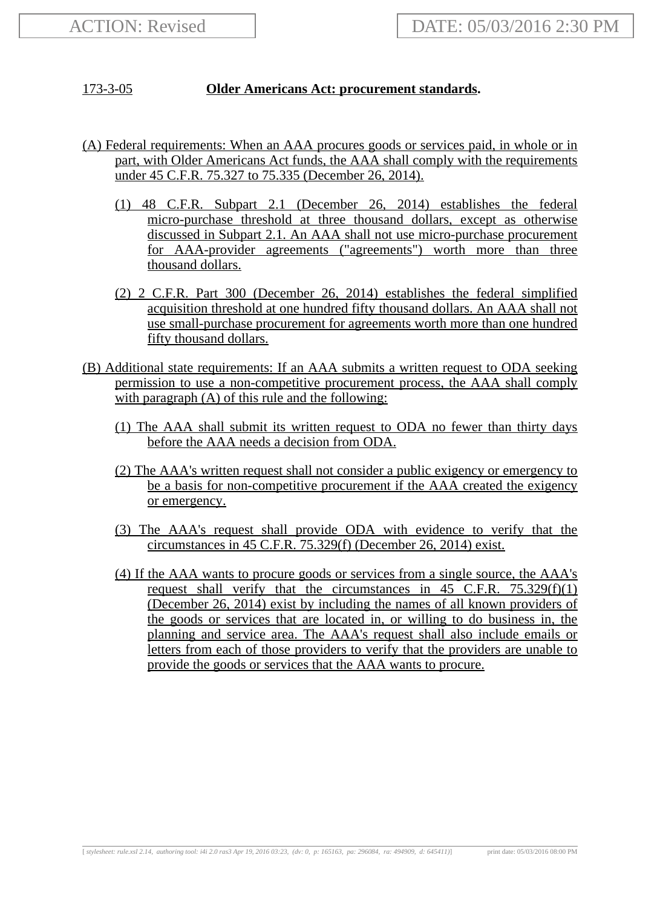## 173-3-05 **Older Americans Act: procurement standards.**

- (A) Federal requirements: When an AAA procures goods or services paid, in whole or in part, with Older Americans Act funds, the AAA shall comply with the requirements under 45 C.F.R. 75.327 to 75.335 (December 26, 2014).
	- (1) 48 C.F.R. Subpart 2.1 (December 26, 2014) establishes the federal micro-purchase threshold at three thousand dollars, except as otherwise discussed in Subpart 2.1. An AAA shall not use micro-purchase procurement for AAA-provider agreements ("agreements") worth more than three thousand dollars.
	- (2) 2 C.F.R. Part 300 (December 26, 2014) establishes the federal simplified acquisition threshold at one hundred fifty thousand dollars. An AAA shall not use small-purchase procurement for agreements worth more than one hundred fifty thousand dollars.
- (B) Additional state requirements: If an AAA submits a written request to ODA seeking permission to use a non-competitive procurement process, the AAA shall comply with paragraph (A) of this rule and the following:
	- (1) The AAA shall submit its written request to ODA no fewer than thirty days before the AAA needs a decision from ODA.
	- (2) The AAA's written request shall not consider a public exigency or emergency to be a basis for non-competitive procurement if the AAA created the exigency or emergency.
	- (3) The AAA's request shall provide ODA with evidence to verify that the circumstances in 45 C.F.R. 75.329(f) (December 26, 2014) exist.
	- (4) If the AAA wants to procure goods or services from a single source, the AAA's request shall verify that the circumstances in  $45$  C.F.R.  $75.329(f)(1)$ (December 26, 2014) exist by including the names of all known providers of the goods or services that are located in, or willing to do business in, the planning and service area. The AAA's request shall also include emails or letters from each of those providers to verify that the providers are unable to provide the goods or services that the AAA wants to procure.